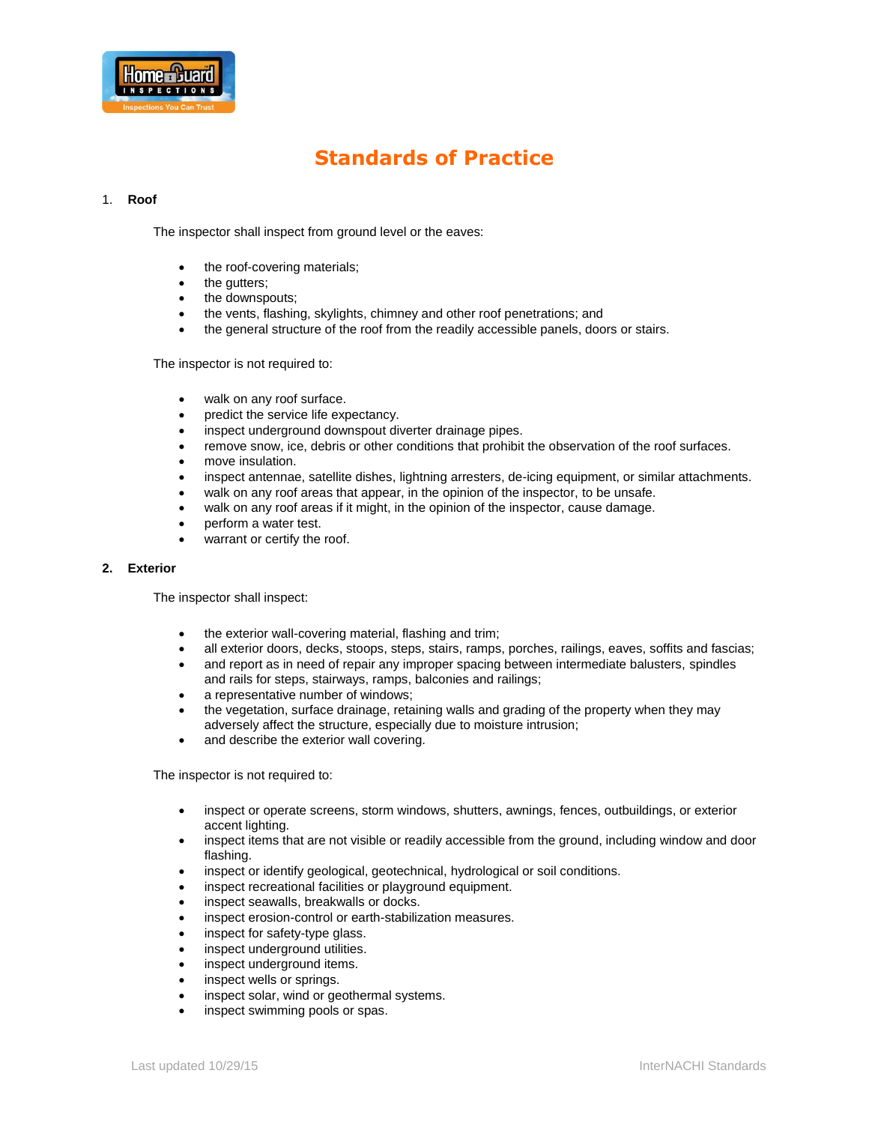

# **Standards of Practice**

# 1. **Roof**

The inspector shall inspect from ground level or the eaves:

- the roof-covering materials;
- the gutters;
- the downspouts;
- the vents, flashing, skylights, chimney and other roof penetrations; and
- the general structure of the roof from the readily accessible panels, doors or stairs.

The inspector is not required to:

- walk on any roof surface.
- predict the service life expectancy.
- inspect underground downspout diverter drainage pipes.
- remove snow, ice, debris or other conditions that prohibit the observation of the roof surfaces.
- move insulation.
- inspect antennae, satellite dishes, lightning arresters, de-icing equipment, or similar attachments.
- walk on any roof areas that appear, in the opinion of the inspector, to be unsafe.
- walk on any roof areas if it might, in the opinion of the inspector, cause damage.
- perform a water test.
- warrant or certify the roof.

#### **2. Exterior**

The inspector shall inspect:

- the exterior wall-covering material, flashing and trim;
- all exterior doors, decks, stoops, steps, stairs, ramps, porches, railings, eaves, soffits and fascias;
- and report as in need of repair any improper spacing between intermediate balusters, spindles and rails for steps, stairways, ramps, balconies and railings;
- a representative number of windows;
- the vegetation, surface drainage, retaining walls and grading of the property when they may adversely affect the structure, especially due to moisture intrusion;
- and describe the exterior wall covering.

- inspect or operate screens, storm windows, shutters, awnings, fences, outbuildings, or exterior accent lighting.
- inspect items that are not visible or readily accessible from the ground, including window and door flashing.
- inspect or identify geological, geotechnical, hydrological or soil conditions.
- inspect recreational facilities or playground equipment.
- inspect seawalls, breakwalls or docks.
- inspect erosion-control or earth-stabilization measures.
- inspect for safety-type glass.
- inspect underground utilities.
- inspect underground items.
- inspect wells or springs.
- inspect solar, wind or geothermal systems.
- inspect swimming pools or spas.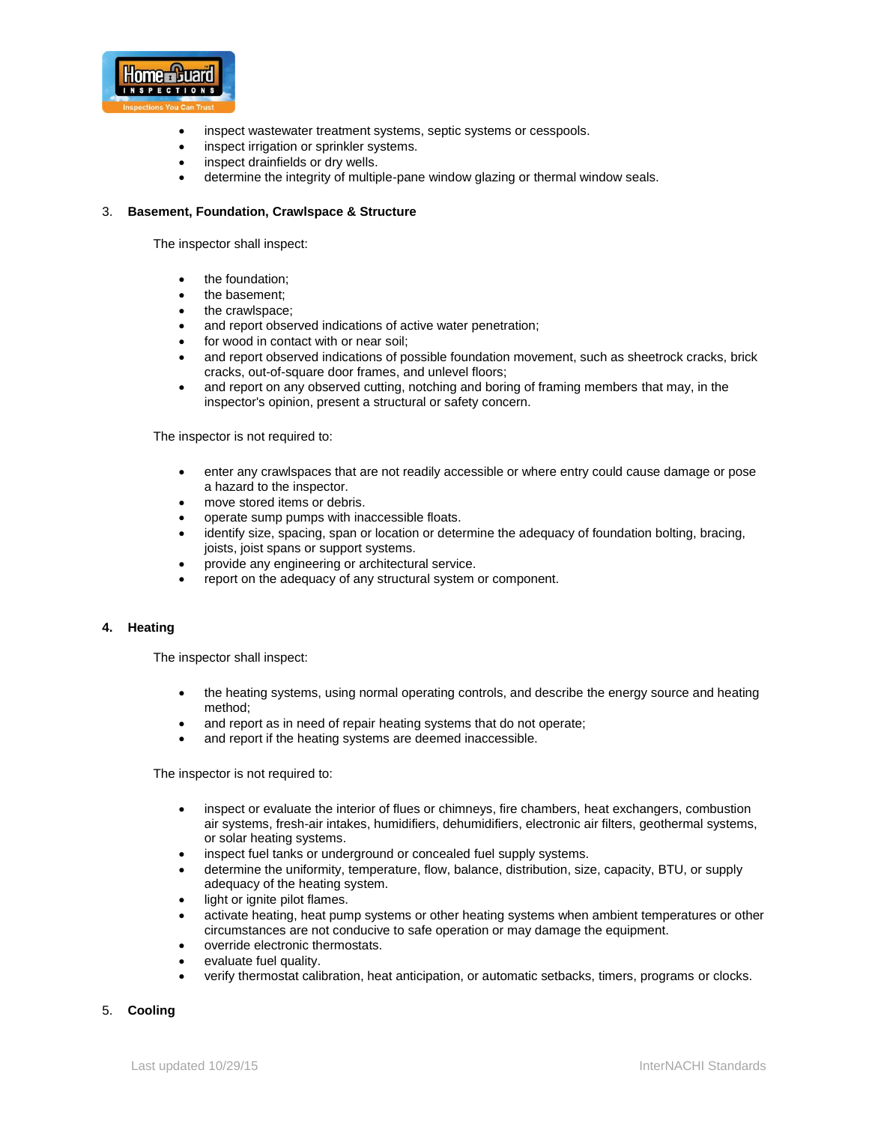

- inspect wastewater treatment systems, septic systems or cesspools.
- inspect irrigation or sprinkler systems.
- inspect drainfields or dry wells.
- determine the integrity of multiple-pane window glazing or thermal window seals.

## 3. **Basement, Foundation, Crawlspace & Structure**

The inspector shall inspect:

- the foundation;
- the basement;
- the crawlspace;
- and report observed indications of active water penetration;
- for wood in contact with or near soil;
- and report observed indications of possible foundation movement, such as sheetrock cracks, brick cracks, out-of-square door frames, and unlevel floors;
- and report on any observed cutting, notching and boring of framing members that may, in the inspector's opinion, present a structural or safety concern.

The inspector is not required to:

- enter any crawlspaces that are not readily accessible or where entry could cause damage or pose a hazard to the inspector.
- move stored items or debris.
- operate sump pumps with inaccessible floats.
- identify size, spacing, span or location or determine the adequacy of foundation bolting, bracing, joists, joist spans or support systems.
- provide any engineering or architectural service.
- report on the adequacy of any structural system or component.

### **4. Heating**

The inspector shall inspect:

- the heating systems, using normal operating controls, and describe the energy source and heating method;
- and report as in need of repair heating systems that do not operate;
- and report if the heating systems are deemed inaccessible.

The inspector is not required to:

- inspect or evaluate the interior of flues or chimneys, fire chambers, heat exchangers, combustion air systems, fresh-air intakes, humidifiers, dehumidifiers, electronic air filters, geothermal systems, or solar heating systems.
- inspect fuel tanks or underground or concealed fuel supply systems.
- determine the uniformity, temperature, flow, balance, distribution, size, capacity, BTU, or supply adequacy of the heating system.
- light or ignite pilot flames.
- activate heating, heat pump systems or other heating systems when ambient temperatures or other circumstances are not conducive to safe operation or may damage the equipment.
- override electronic thermostats.
- evaluate fuel quality.
- verify thermostat calibration, heat anticipation, or automatic setbacks, timers, programs or clocks.

## 5. **Cooling**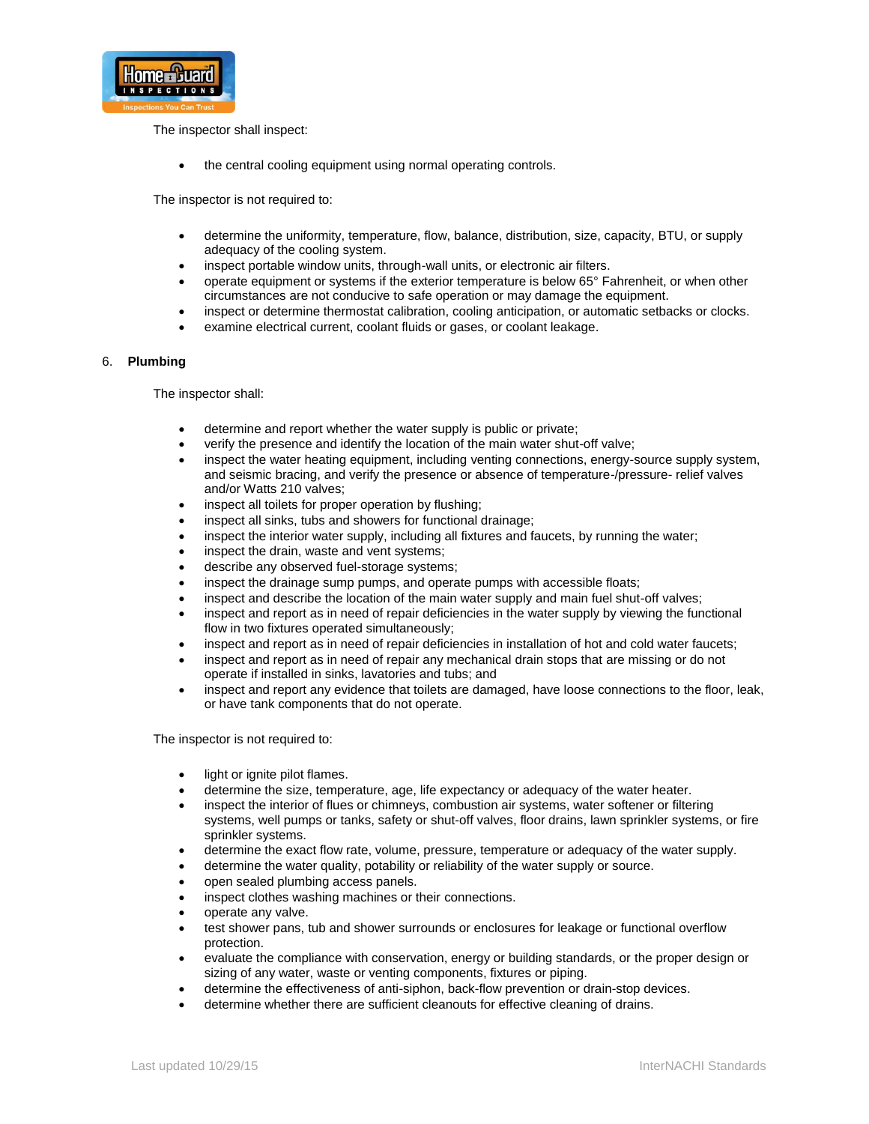

The inspector shall inspect:

• the central cooling equipment using normal operating controls.

The inspector is not required to:

- determine the uniformity, temperature, flow, balance, distribution, size, capacity, BTU, or supply adequacy of the cooling system.
- inspect portable window units, through-wall units, or electronic air filters.
- operate equipment or systems if the exterior temperature is below 65° Fahrenheit, or when other circumstances are not conducive to safe operation or may damage the equipment.
- inspect or determine thermostat calibration, cooling anticipation, or automatic setbacks or clocks.
- examine electrical current, coolant fluids or gases, or coolant leakage.

## 6. **Plumbing**

The inspector shall:

- determine and report whether the water supply is public or private;
- verify the presence and identify the location of the main water shut-off valve;
- inspect the water heating equipment, including venting connections, energy-source supply system, and seismic bracing, and verify the presence or absence of temperature-/pressure- relief valves and/or Watts 210 valves;
- inspect all toilets for proper operation by flushing;
- inspect all sinks, tubs and showers for functional drainage;
- inspect the interior water supply, including all fixtures and faucets, by running the water;
- inspect the drain, waste and vent systems;
- describe any observed fuel-storage systems;
- inspect the drainage sump pumps, and operate pumps with accessible floats;
- inspect and describe the location of the main water supply and main fuel shut-off valves;
- inspect and report as in need of repair deficiencies in the water supply by viewing the functional flow in two fixtures operated simultaneously;
- inspect and report as in need of repair deficiencies in installation of hot and cold water faucets;
- inspect and report as in need of repair any mechanical drain stops that are missing or do not operate if installed in sinks, lavatories and tubs; and
- inspect and report any evidence that toilets are damaged, have loose connections to the floor, leak, or have tank components that do not operate.

- light or ignite pilot flames.
- determine the size, temperature, age, life expectancy or adequacy of the water heater.
- inspect the interior of flues or chimneys, combustion air systems, water softener or filtering systems, well pumps or tanks, safety or shut-off valves, floor drains, lawn sprinkler systems, or fire sprinkler systems.
- determine the exact flow rate, volume, pressure, temperature or adequacy of the water supply.
- determine the water quality, potability or reliability of the water supply or source.
- open sealed plumbing access panels.
- inspect clothes washing machines or their connections.
- operate any valve.
- test shower pans, tub and shower surrounds or enclosures for leakage or functional overflow protection.
- evaluate the compliance with conservation, energy or building standards, or the proper design or sizing of any water, waste or venting components, fixtures or piping.
- determine the effectiveness of anti-siphon, back-flow prevention or drain-stop devices.
- determine whether there are sufficient cleanouts for effective cleaning of drains.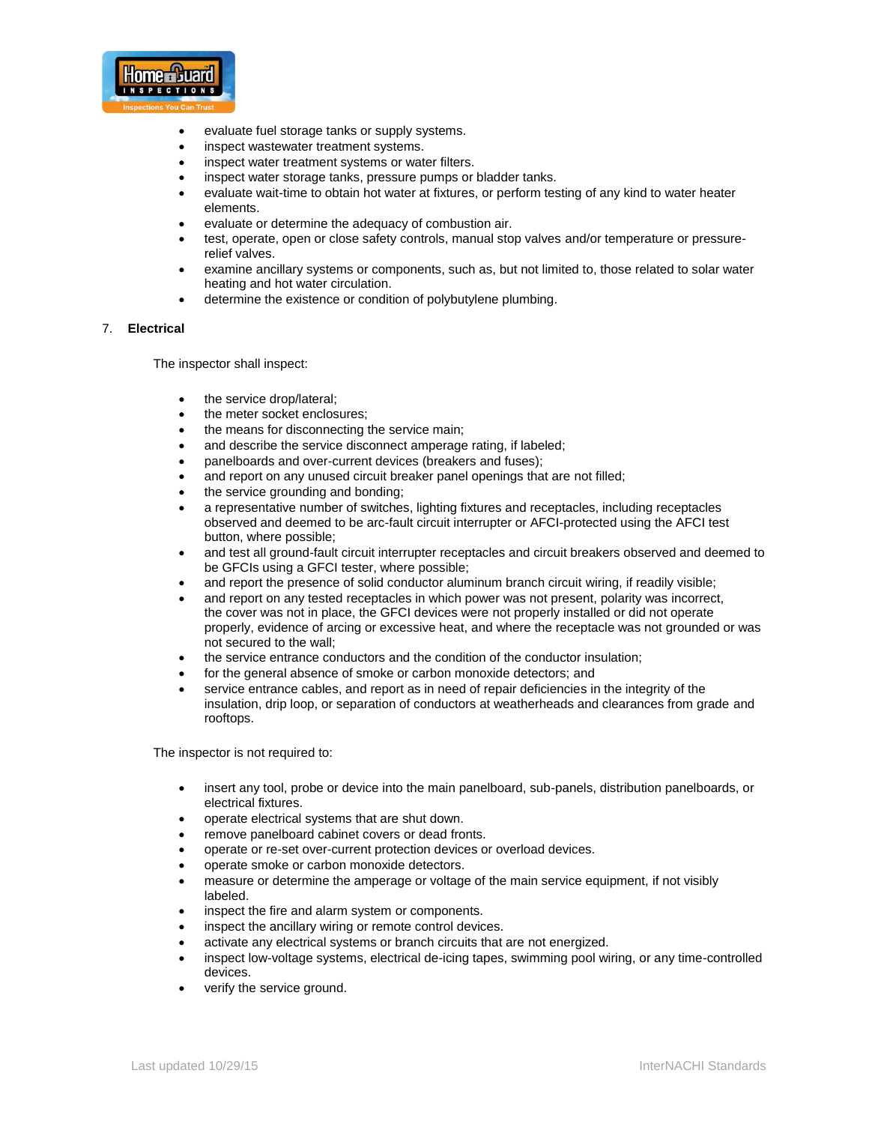

- evaluate fuel storage tanks or supply systems.
- inspect wastewater treatment systems.
- inspect water treatment systems or water filters.
- inspect water storage tanks, pressure pumps or bladder tanks.
- evaluate wait-time to obtain hot water at fixtures, or perform testing of any kind to water heater elements.
- evaluate or determine the adequacy of combustion air.
- test, operate, open or close safety controls, manual stop valves and/or temperature or pressurerelief valves.
- examine ancillary systems or components, such as, but not limited to, those related to solar water heating and hot water circulation.
- determine the existence or condition of polybutylene plumbing.

## 7. **Electrical**

The inspector shall inspect:

- the service drop/lateral;
- the meter socket enclosures;
- the means for disconnecting the service main;
- and describe the service disconnect amperage rating, if labeled;
- panelboards and over-current devices (breakers and fuses);
- and report on any unused circuit breaker panel openings that are not filled;
- the service grounding and bonding;
- a representative number of switches, lighting fixtures and receptacles, including receptacles observed and deemed to be arc-fault circuit interrupter or AFCI-protected using the AFCI test button, where possible;
- and test all ground-fault circuit interrupter receptacles and circuit breakers observed and deemed to be GFCIs using a GFCI tester, where possible;
- and report the presence of solid conductor aluminum branch circuit wiring, if readily visible;
- and report on any tested receptacles in which power was not present, polarity was incorrect, the cover was not in place, the GFCI devices were not properly installed or did not operate properly, evidence of arcing or excessive heat, and where the receptacle was not grounded or was not secured to the wall;
- the service entrance conductors and the condition of the conductor insulation;
- for the general absence of smoke or carbon monoxide detectors; and
- service entrance cables, and report as in need of repair deficiencies in the integrity of the insulation, drip loop, or separation of conductors at weatherheads and clearances from grade and rooftops.

- insert any tool, probe or device into the main panelboard, sub-panels, distribution panelboards, or electrical fixtures.
- operate electrical systems that are shut down.
- remove panelboard cabinet covers or dead fronts.
- operate or re-set over-current protection devices or overload devices.
- operate smoke or carbon monoxide detectors.
- measure or determine the amperage or voltage of the main service equipment, if not visibly labeled.
- inspect the fire and alarm system or components.
- inspect the ancillary wiring or remote control devices.
- activate any electrical systems or branch circuits that are not energized.
- inspect low-voltage systems, electrical de-icing tapes, swimming pool wiring, or any time-controlled devices.
- verify the service ground.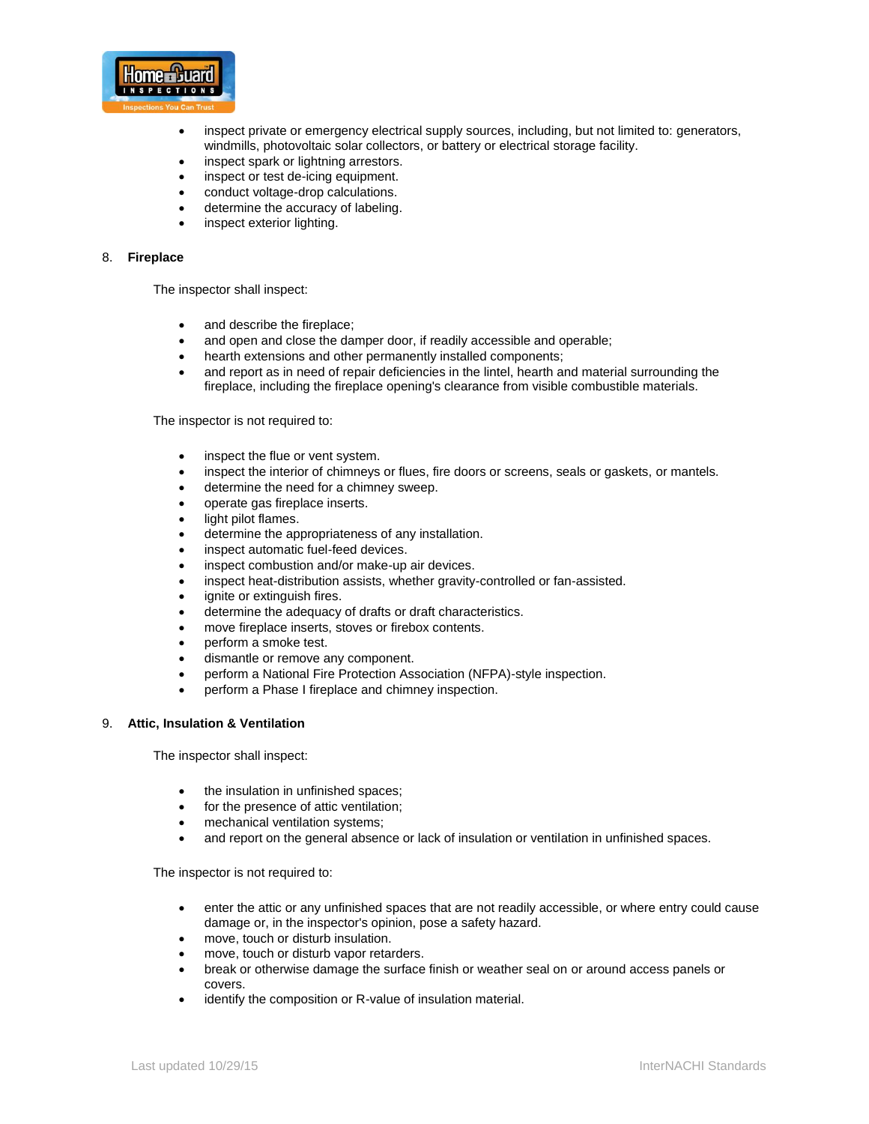

- inspect private or emergency electrical supply sources, including, but not limited to: generators, windmills, photovoltaic solar collectors, or battery or electrical storage facility.
- inspect spark or lightning arrestors.
- inspect or test de-icing equipment.
- conduct voltage-drop calculations.
- determine the accuracy of labeling.
- inspect exterior lighting.

#### 8. **Fireplace**

The inspector shall inspect:

- and describe the fireplace;
- and open and close the damper door, if readily accessible and operable;
- hearth extensions and other permanently installed components:
- and report as in need of repair deficiencies in the lintel, hearth and material surrounding the fireplace, including the fireplace opening's clearance from visible combustible materials.

The inspector is not required to:

- inspect the flue or vent system.
- inspect the interior of chimneys or flues, fire doors or screens, seals or gaskets, or mantels.
- determine the need for a chimney sweep.
- operate gas fireplace inserts.
- light pilot flames.
- determine the appropriateness of any installation.
- inspect automatic fuel-feed devices.
- inspect combustion and/or make-up air devices.
- inspect heat-distribution assists, whether gravity-controlled or fan-assisted.
- ignite or extinguish fires.
- determine the adequacy of drafts or draft characteristics.
- move fireplace inserts, stoves or firebox contents.
- perform a smoke test.
- dismantle or remove any component.
- perform a National Fire Protection Association (NFPA)-style inspection.
- perform a Phase I fireplace and chimney inspection.

#### 9. **Attic, Insulation & Ventilation**

The inspector shall inspect:

- the insulation in unfinished spaces;
- for the presence of attic ventilation;
- mechanical ventilation systems;
- and report on the general absence or lack of insulation or ventilation in unfinished spaces.

- enter the attic or any unfinished spaces that are not readily accessible, or where entry could cause damage or, in the inspector's opinion, pose a safety hazard.
- move, touch or disturb insulation.
- move, touch or disturb vapor retarders.
- break or otherwise damage the surface finish or weather seal on or around access panels or covers.
- identify the composition or R-value of insulation material.